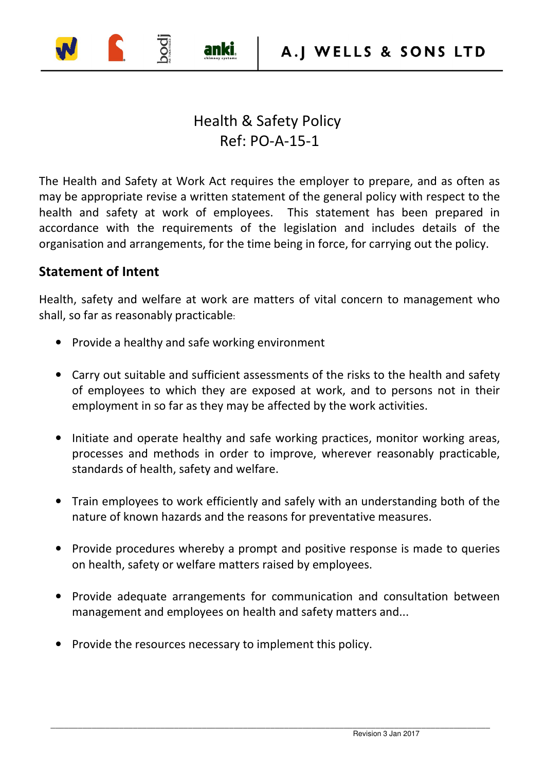## Health & Safety Policy Ref: PO-A-15-1

anki

The Health and Safety at Work Act requires the employer to prepare, and as often as may be appropriate revise a written statement of the general policy with respect to the health and safety at work of employees. This statement has been prepared in accordance with the requirements of the legislation and includes details of the organisation and arrangements, for the time being in force, for carrying out the policy.

## **Statement of Intent**

Health, safety and welfare at work are matters of vital concern to management who shall, so far as reasonably practicable:

- Provide a healthy and safe working environment
- Carry out suitable and sufficient assessments of the risks to the health and safety of employees to which they are exposed at work, and to persons not in their employment in so far as they may be affected by the work activities.
- Initiate and operate healthy and safe working practices, monitor working areas, processes and methods in order to improve, wherever reasonably practicable, standards of health, safety and welfare.
- Train employees to work efficiently and safely with an understanding both of the nature of known hazards and the reasons for preventative measures.
- Provide procedures whereby a prompt and positive response is made to queries on health, safety or welfare matters raised by employees.
- Provide adequate arrangements for communication and consultation between management and employees on health and safety matters and...
- Provide the resources necessary to implement this policy.